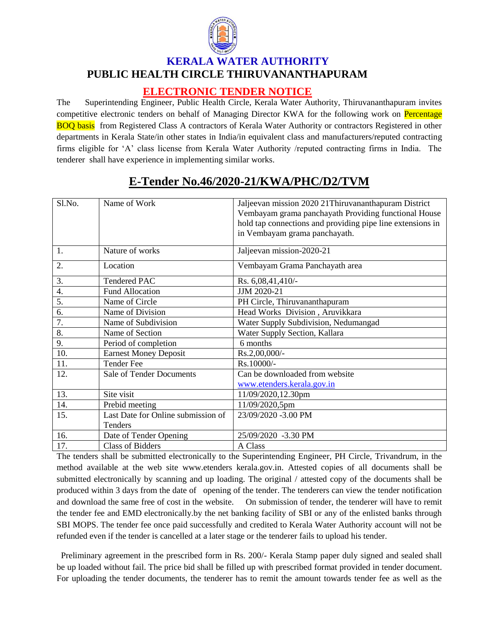

## **KERALA WATER AUTHORITY PUBLIC HEALTH CIRCLE THIRUVANANTHAPURAM**

## **ELECTRONIC TENDER NOTICE**

The Superintending Engineer, Public Health Circle, Kerala Water Authority, Thiruvananthapuram invites competitive electronic tenders on behalf of Managing Director KWA for the following work on Percentage BOQ basis from Registered Class A contractors of Kerala Water Authority or contractors Registered in other departments in Kerala State/in other states in India/in equivalent class and manufacturers/reputed contracting firms eligible for 'A' class license from Kerala Water Authority /reputed contracting firms in India. The tenderer shall have experience in implementing similar works.

| Sl.No. | Name of Work                       | Jaljeevan mission 2020 21 Thiruvananthapuram District<br>Vembayam grama panchayath Providing functional House<br>hold tap connections and providing pipe line extensions in<br>in Vembayam grama panchayath. |
|--------|------------------------------------|--------------------------------------------------------------------------------------------------------------------------------------------------------------------------------------------------------------|
| 1.     | Nature of works                    | Jaljeevan mission-2020-21                                                                                                                                                                                    |
| 2.     | Location                           | Vembayam Grama Panchayath area                                                                                                                                                                               |
| 3.     | <b>Tendered PAC</b>                | Rs. 6,08,41,410/-                                                                                                                                                                                            |
| 4.     | <b>Fund Allocation</b>             | JJM 2020-21                                                                                                                                                                                                  |
| 5.     | Name of Circle                     | PH Circle, Thiruvananthapuram                                                                                                                                                                                |
| 6.     | Name of Division                   | Head Works Division, Aruvikkara                                                                                                                                                                              |
| 7.     | Name of Subdivision                | Water Supply Subdivision, Nedumangad                                                                                                                                                                         |
| 8.     | Name of Section                    | Water Supply Section, Kallara                                                                                                                                                                                |
| 9.     | Period of completion               | 6 months                                                                                                                                                                                                     |
| 10.    | <b>Earnest Money Deposit</b>       | Rs.2,00,000/-                                                                                                                                                                                                |
| 11.    | <b>Tender Fee</b>                  | Rs.10000/-                                                                                                                                                                                                   |
| 12.    | <b>Sale of Tender Documents</b>    | Can be downloaded from website                                                                                                                                                                               |
|        |                                    | www.etenders.kerala.gov.in                                                                                                                                                                                   |
| 13.    | Site visit                         | 11/09/2020,12.30pm                                                                                                                                                                                           |
| 14.    | Prebid meeting                     | 11/09/2020,5pm                                                                                                                                                                                               |
| 15.    | Last Date for Online submission of | 23/09/2020 -3.00 PM                                                                                                                                                                                          |
|        | Tenders                            |                                                                                                                                                                                                              |
| 16.    | Date of Tender Opening             | 25/09/2020 -3.30 PM                                                                                                                                                                                          |
| 17.    | <b>Class of Bidders</b>            | A Class                                                                                                                                                                                                      |

## **E-Tender No.46/2020-21/KWA/PHC/D2/TVM**

The tenders shall be submitted electronically to the Superintending Engineer, PH Circle, Trivandrum, in the method available at the web site www.etenders kerala.gov.in. Attested copies of all documents shall be submitted electronically by scanning and up loading. The original / attested copy of the documents shall be produced within 3 days from the date of opening of the tender. The tenderers can view the tender notification and download the same free of cost in the website. On submission of tender, the tenderer will have to remit the tender fee and EMD electronically.by the net banking facility of SBI or any of the enlisted banks through SBI MOPS. The tender fee once paid successfully and credited to Kerala Water Authority account will not be refunded even if the tender is cancelled at a later stage or the tenderer fails to upload his tender.

 Preliminary agreement in the prescribed form in Rs. 200/- Kerala Stamp paper duly signed and sealed shall be up loaded without fail. The price bid shall be filled up with prescribed format provided in tender document. For uploading the tender documents, the tenderer has to remit the amount towards tender fee as well as the